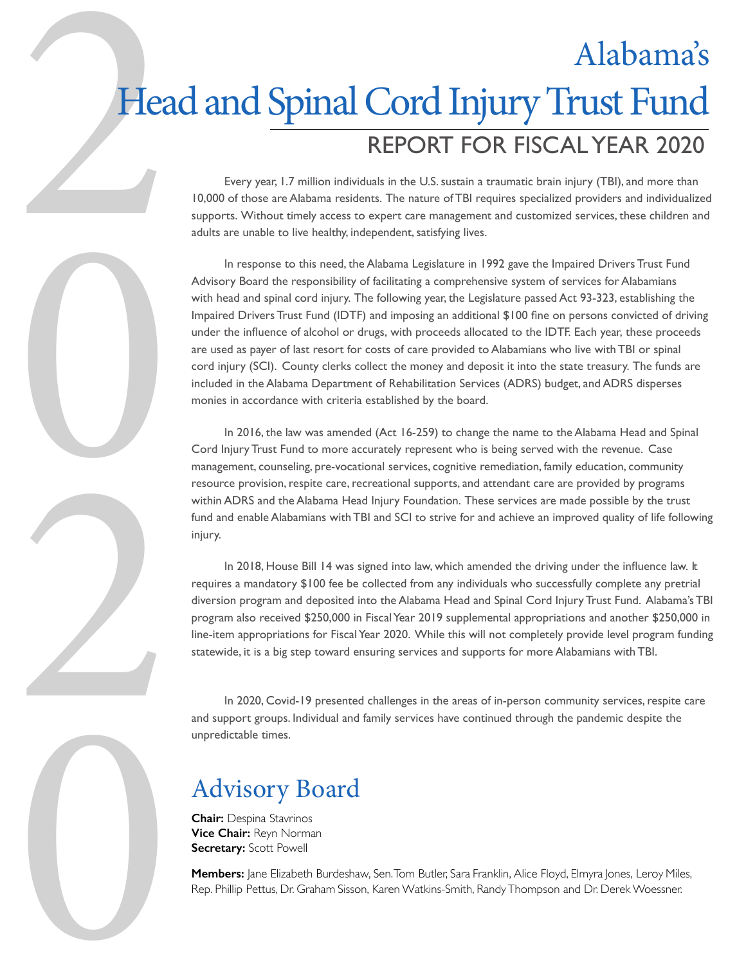# 2 REPORT FOR FISCAL YEAR 2020 Alabama's Head and Spinal Cord Injury Trust Fund

Every year, 1.7 million individuals in the U.S. sustain a traumatic brain injury (TBI), and more than 10,000 of those are Alabama residents. The nature of TBI requires specialized providers and individualized supports. Without timely access to expert care management and customized services, these children and adults are unable to live healthy, independent, satisfying lives.

In response to this need, the Alabama Legislature in 1992 gave the Impaired Drivers Trust Fund Advisory Board the responsibility of facilitating a comprehensive system of services for Alabamians with head and spinal cord injury. The following year, the Legislature passed Act 93-323, establishing the Impaired Drivers Trust Fund (IDTF) and imposing an additional \$100 fine on persons convicted of driving under the influence of alcohol or drugs, with proceeds allocated to the IDTF. Each year, these proceeds are used as payer of last resort for costs of care provided to Alabamians who live with TBI or spinal cord injury (SCI). County clerks collect the money and deposit it into the state treasury. The funds are included in the Alabama Department of Rehabilitation Services (ADRS) budget, and ADRS disperses monies in accordance with criteria established by the board.

In 2016, the law was amended (Act 16-259) to change the name to the Alabama Head and Spinal Cord Injury Trust Fund to more accurately represent who is being served with the revenue. Case management, counseling, pre-vocational services, cognitive remediation, family education, community resource provision, respite care, recreational supports, and attendant care are provided by programs within ADRS and the Alabama Head Injury Foundation. These services are made possible by the trust fund and enable Alabamians with TBI and SCI to strive for and achieve an improved quality of life following injury.

In 2018, House Bill 14 was signed into law, which amended the driving under the influence law. It requires a mandatory \$100 fee be collected from any individuals who successfully complete any pretrial diversion program and deposited into the Alabama Head and Spinal Cord Injury Trust Fund. Alabama's TBI program also received \$250,000 in Fiscal Year 2019 supplemental appropriations and another \$250,000 in line-item appropriations for Fiscal Year 2020. While this will not completely provide level program funding statewide, it is a big step toward ensuring services and supports for more Alabamians with TBI.

In 2020, Covid-19 presented challenges in the areas of in-person community services, respite care and support groups. Individual and family services have continued through the pandemic despite the unpredictable times.

## Advisory Board

**Chair:** Despina Stavrinos **Vice Chair:** Reyn Norman **Secretary:** Scott Powell

0

2

0

**Members:** Jane Elizabeth Burdeshaw, Sen. Tom Butler, Sara Franklin, Alice Floyd, Elmyra Jones, Leroy Miles, Rep. Phillip Pettus, Dr. Graham Sisson, Karen Watkins-Smith, Randy Thompson and Dr. Derek Woessner.